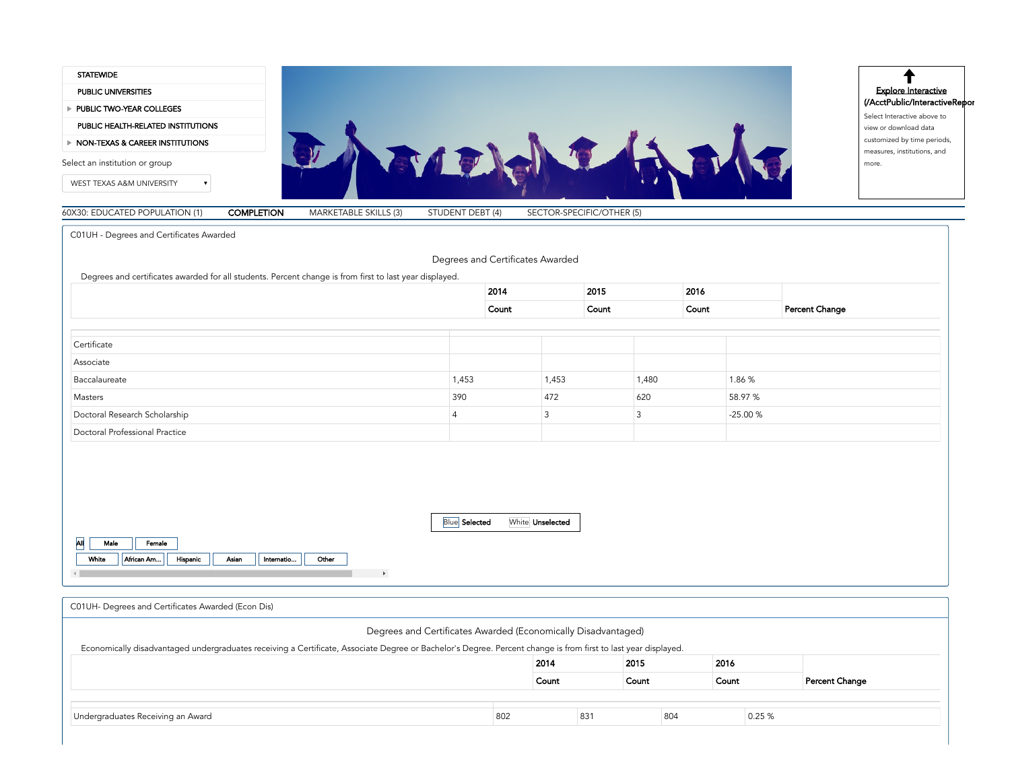

C01UH - Degrees and Certificates Awarded

<span id="page-0-0"></span>

|                                |                | 2014           | 2015 |       | 2016 |           |                |
|--------------------------------|----------------|----------------|------|-------|------|-----------|----------------|
|                                |                | Count          |      | Count |      |           | Percent Change |
|                                |                |                |      |       |      |           |                |
| Certificate                    |                |                |      |       |      |           |                |
| Associate                      |                |                |      |       |      |           |                |
| Baccalaureate                  | 1,453          | 1,453          |      | 1,480 |      | 1.86 %    |                |
| Masters                        | 390            | 472            |      | 620   |      | 58.97 %   |                |
| Doctoral Research Scholarship  | $\overline{4}$ | $\overline{3}$ |      | 3     |      | $-25.00%$ |                |
| Doctoral Professional Practice |                |                |      |       |      |           |                |

<span id="page-0-1"></span>

| C01UH- Degrees and Certificates Awarded (Econ Dis)                                                                                                             |     |       |     |       |     |       |        |                |
|----------------------------------------------------------------------------------------------------------------------------------------------------------------|-----|-------|-----|-------|-----|-------|--------|----------------|
| Degrees and Certificates Awarded (Economically Disadvantaged)                                                                                                  |     |       |     |       |     |       |        |                |
| Economically disadvantaged undergraduates receiving a Certificate, Associate Degree or Bachelor's Degree. Percent change is from first to last year displayed. |     |       |     |       |     |       |        |                |
|                                                                                                                                                                |     | 2014  |     | 2015  |     | 2016  |        |                |
|                                                                                                                                                                |     | Count |     | Count |     | Count |        | Percent Change |
|                                                                                                                                                                |     |       |     |       |     |       |        |                |
| Undergraduates Receiving an Award                                                                                                                              | 802 |       | 831 |       | 804 |       | 0.25 % |                |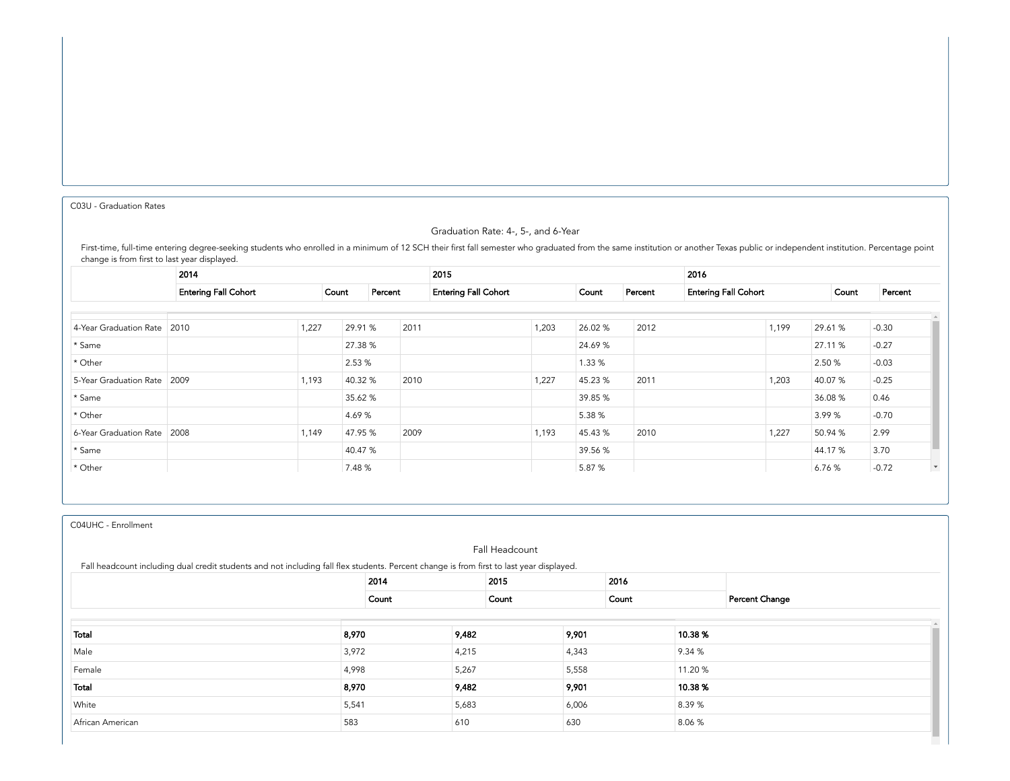<span id="page-1-0"></span>C03U - [Graduation](#page-1-0) Rates

# Graduation Rate: 4-, 5-, and 6-Year

First-time, full-time entering degree-seeking students who enrolled in a minimum of 12 SCH their first fall semester who graduated from the same institution or another Texas public or independent institution. Percentage po change is from first to last year displayed.

|                               | 2014                        |       |                  |      | 2015 |                             | 2016    |         |                             |       |         |         |
|-------------------------------|-----------------------------|-------|------------------|------|------|-----------------------------|---------|---------|-----------------------------|-------|---------|---------|
|                               | <b>Entering Fall Cohort</b> |       | Percent<br>Count |      |      | <b>Entering Fall Cohort</b> |         | Percent | <b>Entering Fall Cohort</b> |       |         | Percent |
|                               |                             |       |                  |      |      |                             |         |         |                             |       |         |         |
| 4-Year Graduation Rate 2010   |                             | 1,227 | 29.91 %          | 2011 |      | 1,203                       | 26.02%  | 2012    |                             | 1,199 | 29.61 % | $-0.30$ |
| * Same                        |                             |       | 27.38 %          |      |      |                             | 24.69%  |         |                             |       | 27.11 % | $-0.27$ |
| * Other                       |                             |       | 2.53 %           |      |      |                             | 1.33 %  |         |                             |       | 2.50 %  | $-0.03$ |
| 5-Year Graduation Rate 2009   |                             | 1,193 | 40.32 %          | 2010 |      | 1,227                       | 45.23 % | 2011    |                             | 1,203 | 40.07 % | $-0.25$ |
| * Same                        |                             |       | 35.62 %          |      |      |                             | 39.85 % |         |                             |       | 36.08 % | 0.46    |
| * Other                       |                             |       | 4.69 %           |      |      |                             | 5.38 %  |         |                             |       | 3.99%   | $-0.70$ |
| 6-Year Graduation Rate   2008 |                             | 1,149 | 47.95 %          | 2009 |      | 1,193                       | 45.43 % | 2010    |                             | 1,227 | 50.94 % | 2.99    |
| * Same                        |                             |       | 40.47 %          |      |      |                             | 39.56 % |         |                             |       | 44.17 % | 3.70    |
| * Other                       |                             |       | 7.48 %           |      |      |                             | 5.87 %  |         |                             |       | 6.76%   | $-0.72$ |

C04UHC - [Enrollment](#page-1-1)

<span id="page-1-1"></span>

| Fall Headcount<br>Fall headcount including dual credit students and not including fall flex students. Percent change is from first to last year displayed. |       |       |       |       |       |         |        |                |
|------------------------------------------------------------------------------------------------------------------------------------------------------------|-------|-------|-------|-------|-------|---------|--------|----------------|
|                                                                                                                                                            |       | 2014  |       | 2015  |       | 2016    |        |                |
|                                                                                                                                                            |       | Count |       | Count |       | Count   |        | Percent Change |
|                                                                                                                                                            |       |       |       |       |       |         |        |                |
| Total                                                                                                                                                      | 8,970 |       | 9,482 |       | 9,901 | 10.38 % |        |                |
| Male                                                                                                                                                       | 3,972 |       | 4,215 |       | 4,343 |         | 9.34 % |                |
| Female                                                                                                                                                     | 4,998 |       | 5,267 |       | 5,558 | 11.20 % |        |                |
| Total                                                                                                                                                      | 8,970 |       | 9,482 |       | 9,901 |         | 10.38% |                |
| White                                                                                                                                                      | 5,541 |       | 5,683 |       | 6,006 |         | 8.39%  |                |
| African American                                                                                                                                           | 583   |       | 610   |       | 630   |         | 8.06 % |                |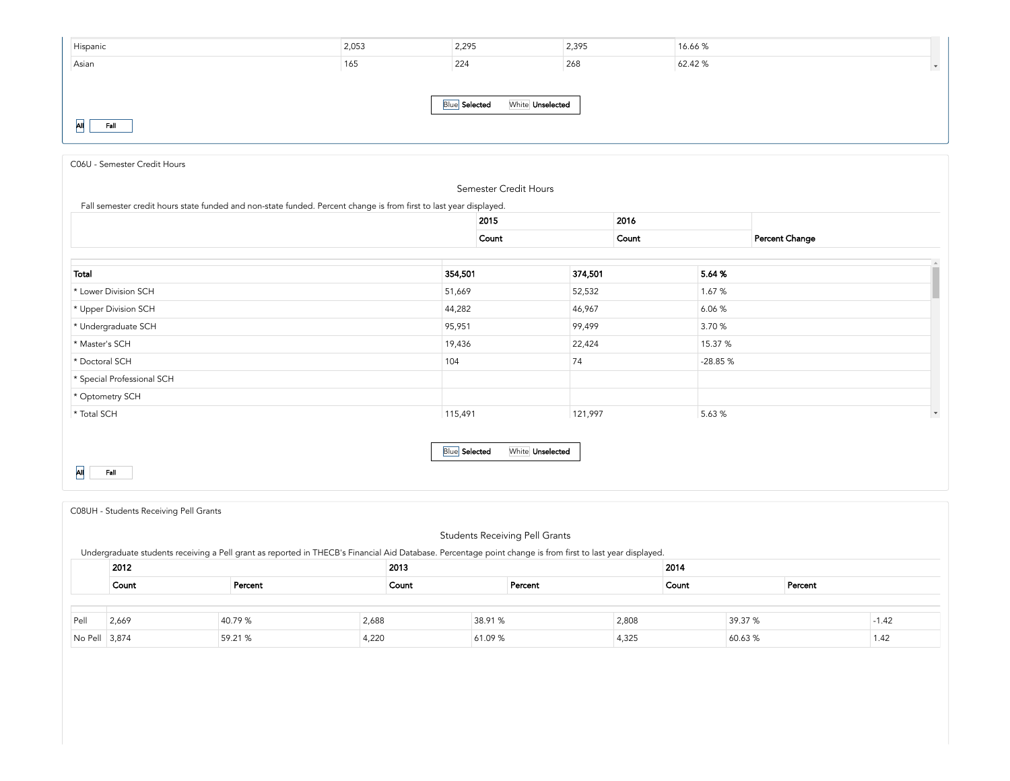| Hispanic                                        | 2,053 | 2,295 | 2,395 | 16.66%  |               |  |  |  |
|-------------------------------------------------|-------|-------|-------|---------|---------------|--|--|--|
| Asian                                           | 165   | 224   | 268   | 62.42 % | $\mathcal{F}$ |  |  |  |
|                                                 |       |       |       |         |               |  |  |  |
| <b>Blue</b> Selected<br>White <b>Unselected</b> |       |       |       |         |               |  |  |  |
| lАll<br>Fall                                    |       |       |       |         |               |  |  |  |

<span id="page-2-0"></span>

| C06U - Semester Credit Hours                                                                                       |         |                       |         |        |           |                |
|--------------------------------------------------------------------------------------------------------------------|---------|-----------------------|---------|--------|-----------|----------------|
|                                                                                                                    |         | Semester Credit Hours |         |        |           |                |
| Fall semester credit hours state funded and non-state funded. Percent change is from first to last year displayed. |         |                       |         |        |           |                |
|                                                                                                                    |         | 2015                  |         | 2016   |           |                |
|                                                                                                                    |         | Count                 |         | Count  |           | Percent Change |
|                                                                                                                    |         |                       |         |        |           |                |
| Total                                                                                                              | 354,501 |                       | 374,501 | 5.64 % |           |                |
| * Lower Division SCH                                                                                               | 51,669  |                       | 52,532  |        | 1.67 %    |                |
| * Upper Division SCH                                                                                               | 44,282  |                       | 46,967  |        | 6.06 %    |                |
| * Undergraduate SCH                                                                                                | 95,951  |                       | 99,499  |        | 3.70 %    |                |
| * Master's SCH                                                                                                     | 19,436  |                       | 22,424  |        | 15.37 %   |                |
| * Doctoral SCH                                                                                                     | 104     |                       | 74      |        | $-28.85%$ |                |
| * Special Professional SCH                                                                                         |         |                       |         |        |           |                |
| * Optometry SCH                                                                                                    |         |                       |         |        |           |                |
| * Total SCH                                                                                                        | 115,491 |                       | 121,997 |        | 5.63 %    |                |

All Fall

<span id="page-2-1"></span>

|               | C08UH - Students Receiving Pell Grants                                                                                                                     |         |       |         |         |         |       |       |         |         |         |  |
|---------------|------------------------------------------------------------------------------------------------------------------------------------------------------------|---------|-------|---------|---------|---------|-------|-------|---------|---------|---------|--|
|               | <b>Students Receiving Pell Grants</b>                                                                                                                      |         |       |         |         |         |       |       |         |         |         |  |
|               | Undergraduate students receiving a Pell grant as reported in THECB's Financial Aid Database. Percentage point change is from first to last year displayed. |         |       |         |         |         |       |       |         |         |         |  |
|               | 2012<br>2013                                                                                                                                               |         |       |         |         |         |       | 2014  |         |         |         |  |
|               | Count                                                                                                                                                      | Percent |       | Count   |         | Percent |       | Count |         | Percent |         |  |
|               |                                                                                                                                                            |         |       |         |         |         |       |       |         |         |         |  |
| Pell          | 2,669                                                                                                                                                      | 40.79 % | 2,688 |         | 38.91 % |         | 2,808 |       | 39.37 % |         | $-1.42$ |  |
| No Pell 3,874 |                                                                                                                                                            | 59.21 % | 4,220 | 61.09 % |         |         | 4,325 |       | 60.63%  |         | 1.42    |  |

**Blue Selected** White Unselected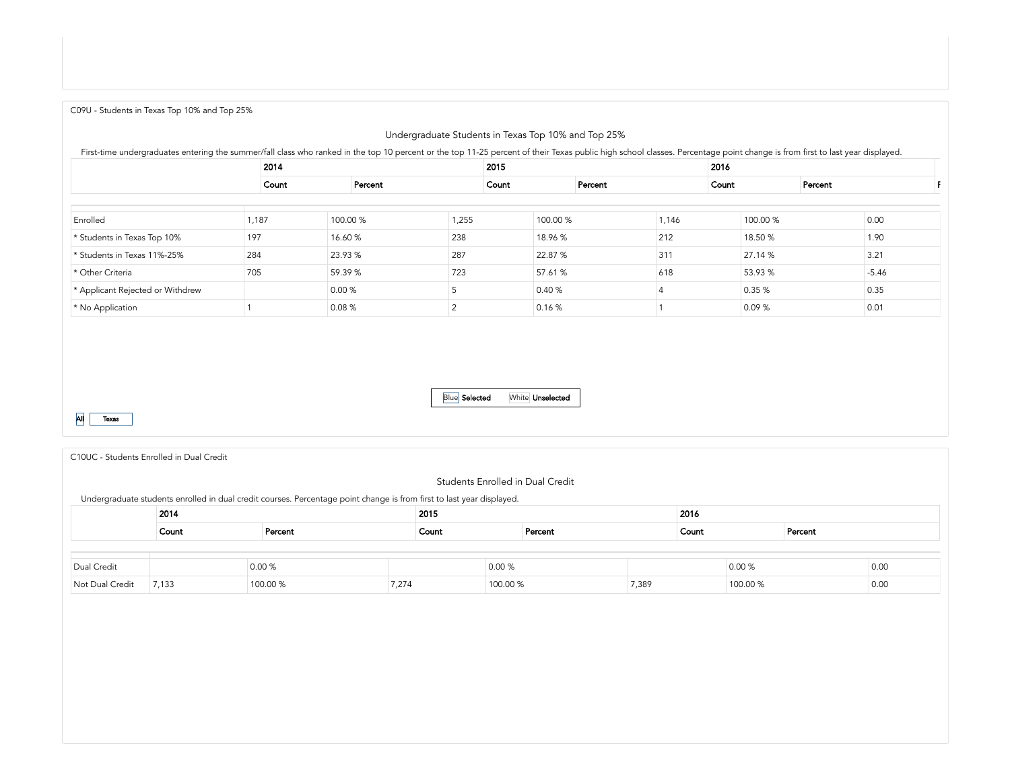<span id="page-3-0"></span>C09U - [Students](#page-3-0) in Texas Top 10% and Top 25%

# Undergraduate Students in Texas Top 10% and Top 25%

First-time undergraduates entering the summer/fall class who ranked in the top 10 percent or the top 11-25 percent of their Texas public high school classes. Percentage point change is from first to last year displayed.

|                                  |       | 2014  |          |       | 2015  |          |  |       |  | 2016     |         |         |  |  |
|----------------------------------|-------|-------|----------|-------|-------|----------|--|-------|--|----------|---------|---------|--|--|
|                                  |       | Count | Percent  |       | Count | Percent  |  | Count |  |          | Percent |         |  |  |
|                                  |       |       |          |       |       |          |  |       |  |          |         |         |  |  |
| Enrolled                         | 1,187 |       | 100.00 % | 1,255 |       | 100.00 % |  | 1,146 |  | 100.00 % |         | 0.00    |  |  |
| * Students in Texas Top 10%      | 197   |       | 16.60 %  | 238   |       | 18.96 %  |  | 212   |  | 18.50 %  |         | 1.90    |  |  |
| * Students in Texas 11%-25%      | 284   |       | 23.93 %  | 287   |       | 22.87 %  |  | 311   |  | 27.14 %  |         | 3.21    |  |  |
| * Other Criteria                 | 705   |       | 59.39 %  | 723   |       | 57.61 %  |  | 618   |  | 53.93 %  |         | $-5.46$ |  |  |
| * Applicant Rejected or Withdrew |       |       | 0.00 %   |       |       | 0.40%    |  |       |  | 0.35 %   |         | 0.35    |  |  |
| * No Application                 |       |       | 0.08%    |       |       | 0.16 %   |  |       |  | 0.09%    |         | 0.01    |  |  |



<span id="page-3-1"></span>C10UC - [Students](#page-3-1) Enrolled in Dual Credit

#### Students Enrolled in Dual Credit

**Blue Selected** White **Unselected** 

Undergraduate students enrolled in dual credit courses. Percentage point change is from first to last year displayed.

| $\sim$          | 2014  |          | 2015  |          |         |       |       | 2016     |         |      |  |  |
|-----------------|-------|----------|-------|----------|---------|-------|-------|----------|---------|------|--|--|
|                 | Count | Percent  | Count |          | Percent |       | Count |          | Percent |      |  |  |
|                 |       |          |       |          |         |       |       |          |         |      |  |  |
| Dual Credit     |       | 0.00%    |       | 0.00 %   |         |       |       | 0.00%    |         | 0.00 |  |  |
| Not Dual Credit | 7,133 | 100.00 % | 7,274 | 100.00 % |         | 7,389 |       | 100.00 % |         | 0.00 |  |  |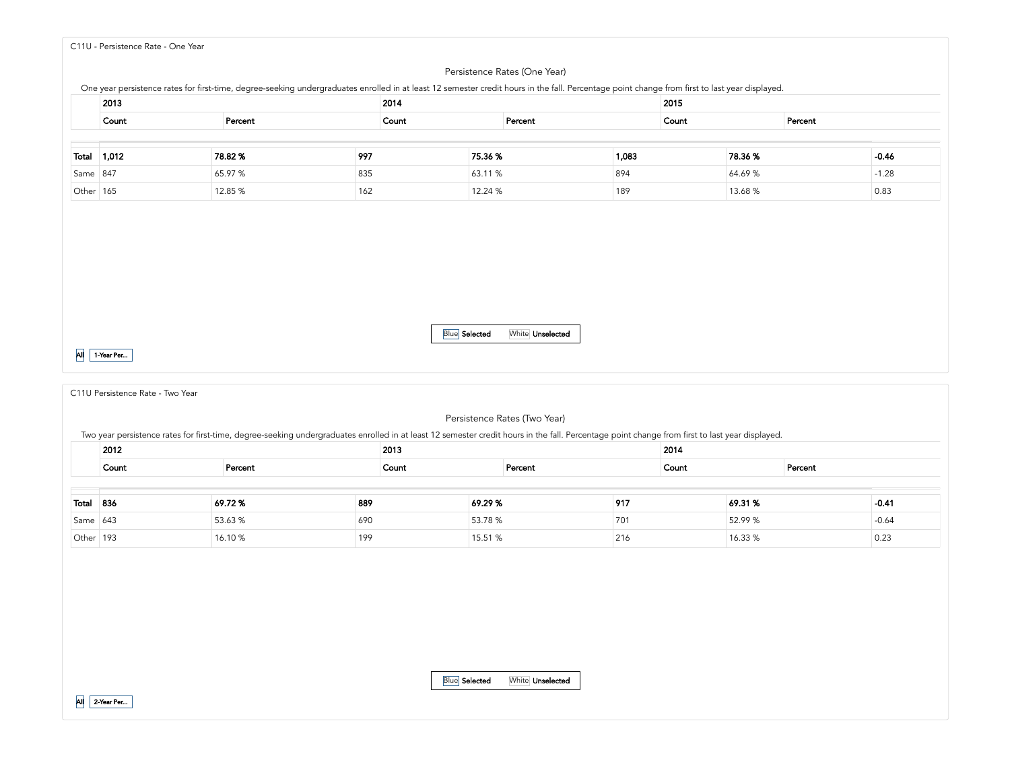<span id="page-4-0"></span>C11U - [Persistence](#page-4-0) Rate - One Year

#### Persistence Rates (One Year)

One year persistence rates for first-time, degree-seeking undergraduates enrolled in at least 12 semester credit hours in the fall. Percentage point change from first to last year displayed.

|           | 2013  | 2014    |       |         |         |       |       | 2015   |         |         |  |  |  |
|-----------|-------|---------|-------|---------|---------|-------|-------|--------|---------|---------|--|--|--|
|           | Count | Percent | Count |         | Percent |       | Count |        | Percent |         |  |  |  |
|           |       |         |       |         |         |       |       |        |         |         |  |  |  |
| Total     | 1,012 | 78.82%  | 997   | 75.36%  |         | 1,083 |       | 78.36% |         | $-0.46$ |  |  |  |
| Same 847  |       | 65.97 % | 835   | 63.11 % |         | 894   |       | 64.69% |         | $-1.28$ |  |  |  |
| Other 165 |       | 12.85 % | 162   | 12.24 % |         | 189   |       | 13.68% |         | 0.83    |  |  |  |

All 1-Year Per...

<span id="page-4-1"></span>C11U [Persistence](#page-4-1) Rate - Two Year

# Blue Selected White Unselected

Persistence Rates (Two Year)

Two year persistence rates for first-time, degree-seeking undergraduates enrolled in at least 12 semester credit hours in the fall. Percentage point change from first to last year displayed.

|           | 2012             | 2013    |       |         |  |         |  | 2014    |         |         |  |  |
|-----------|------------------|---------|-------|---------|--|---------|--|---------|---------|---------|--|--|
|           | Count<br>Percent |         | Count |         |  | Percent |  |         | Percent |         |  |  |
|           |                  |         |       |         |  |         |  |         |         |         |  |  |
| Total     | 836              | 69.72%  | 889   | 69.29%  |  | 917     |  | 69.31 % |         | $-0.41$ |  |  |
| Same 643  |                  | 53.63 % | 690   | 53.78 % |  | 701     |  | 52.99 % |         | $-0.64$ |  |  |
| Other 193 |                  | 16.10%  | 199   | 15.51 % |  | 216     |  | 16.33 % |         | 0.23    |  |  |

|  | <b>Blue</b> Selected | White <b>Unselected</b> |
|--|----------------------|-------------------------|
|--|----------------------|-------------------------|

Г  $\sim$ 

All 2-Year Per...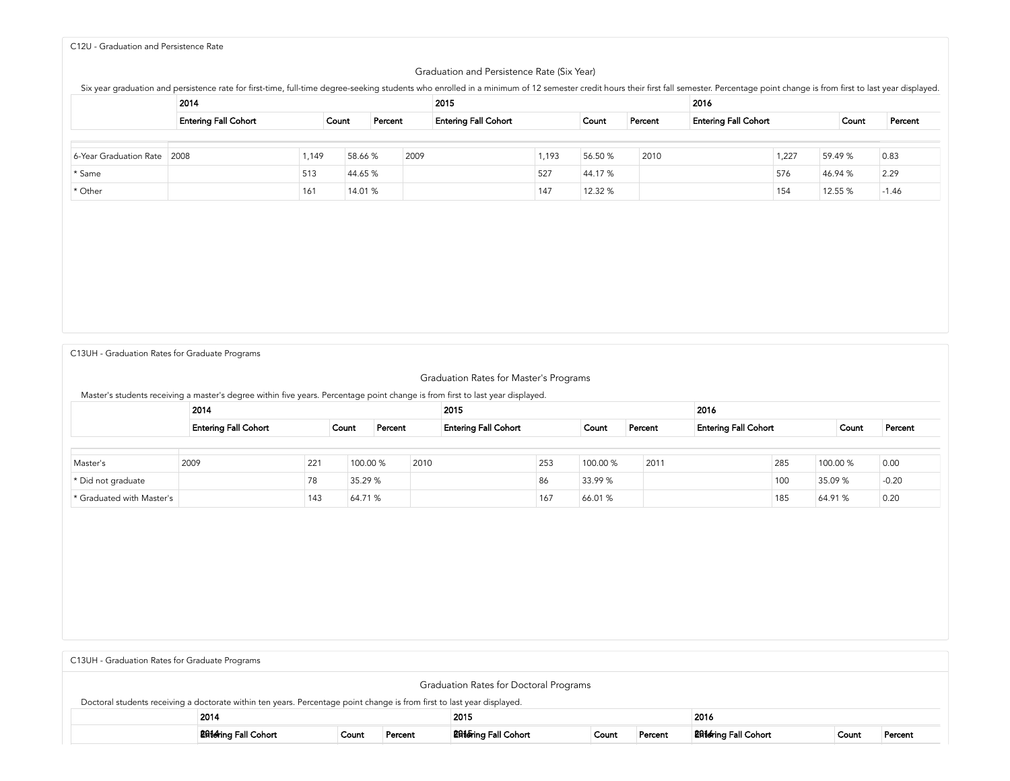## <span id="page-5-0"></span>C12U - [Graduation](#page-5-0) and Persistence Rate

#### Graduation and Persistence Rate (Six Year)

Six year graduation and persistence rate for first-time, full-time degree-seeking students who enrolled in a minimum of 12 semester credit hours their first fall semester. Percentage point change is from first to last year

|                        | 2014                        |       |         |         | 2015                        |       |         |         | 2016                        |       |         |         |
|------------------------|-----------------------------|-------|---------|---------|-----------------------------|-------|---------|---------|-----------------------------|-------|---------|---------|
|                        | <b>Entering Fall Cohort</b> | Count |         | Percent | <b>Entering Fall Cohort</b> |       | Count   | Percent | <b>Entering Fall Cohort</b> |       | Count   | Percent |
|                        |                             |       |         |         |                             |       |         |         |                             |       |         |         |
| 6-Year Graduation Rate | 2008                        | 1,149 | 58.66 % | 2009    |                             | 1,193 | 56.50 % | 2010    |                             | 1,227 | 59.49 % | 0.83    |
| * Same                 |                             | 513   | 44.65 % |         |                             | 527   | 44.17 % |         |                             | 576   | 46.94 % | 2.29    |
| * Other                |                             | 161   | 14.01 % |         |                             | 147   | 12.32 % |         |                             | 154   | 12.55 % | $-1.46$ |

C13UH [-Graduation](#page-5-1) Rates for Graduate Programs

<span id="page-5-1"></span>

| Master's students receiving a master's degree within five years. Percentage point change is from first to last year displayed. |      |                                      |          |         |      |                             |     |          |         |                             |     |          |         |
|--------------------------------------------------------------------------------------------------------------------------------|------|--------------------------------------|----------|---------|------|-----------------------------|-----|----------|---------|-----------------------------|-----|----------|---------|
|                                                                                                                                | 2014 |                                      |          |         |      | 2015                        |     |          |         | 2016                        |     |          |         |
|                                                                                                                                |      | <b>Entering Fall Cohort</b><br>Count |          | Percent |      | <b>Entering Fall Cohort</b> |     | Count    | Percent | <b>Entering Fall Cohort</b> |     | Count    | Percent |
|                                                                                                                                |      |                                      |          |         |      |                             |     |          |         |                             |     |          |         |
| Master's                                                                                                                       | 2009 | 221                                  | 100.00 % |         | 2010 |                             | 253 | 100.00 % | 2011    |                             | 285 | 100.00 % | 0.00    |
| * Did not graduate                                                                                                             |      | 78                                   | 35.29 %  |         |      |                             | 86  | 33.99%   |         |                             | 100 | 35.09 %  | $-0.20$ |
| * Graduated with Master's                                                                                                      |      | 143                                  | 64.71 %  |         |      |                             | 167 | 66.01 %  |         |                             | 185 | 64.91 %  | 0.20    |

<span id="page-5-2"></span>

| C13UH - Graduation Rates for Graduate Programs                                                                          |                              |       |         |                                                  |  |  |                              |       |         |  |  |  |  |
|-------------------------------------------------------------------------------------------------------------------------|------------------------------|-------|---------|--------------------------------------------------|--|--|------------------------------|-------|---------|--|--|--|--|
|                                                                                                                         |                              |       |         | Graduation Rates for Doctoral Programs           |  |  |                              |       |         |  |  |  |  |
| Doctoral students receiving a doctorate within ten years. Percentage point change is from first to last year displayed. |                              |       |         |                                                  |  |  |                              |       |         |  |  |  |  |
| 2015<br>2014<br>2016                                                                                                    |                              |       |         |                                                  |  |  |                              |       |         |  |  |  |  |
|                                                                                                                         | <b>2814</b> ring Fall Cohort | Count | Percent | <b>2016</b> ring Fall Cohort<br>Percent<br>Count |  |  | <b>2016</b> ring Fall Cohort | Count | Percent |  |  |  |  |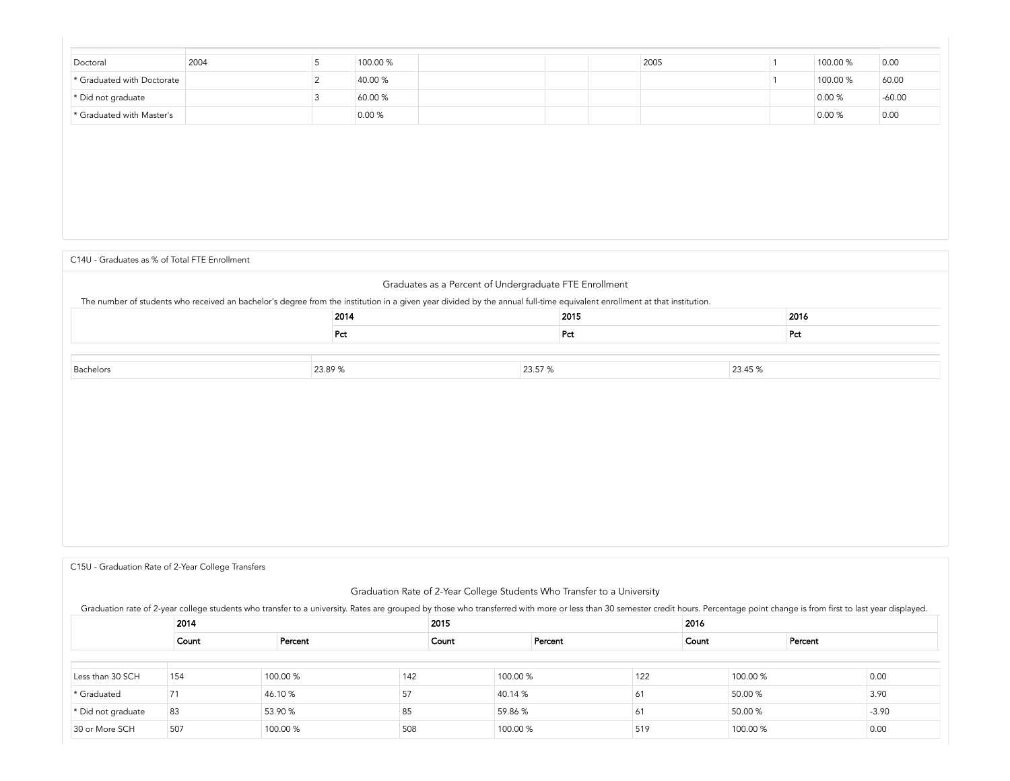| Doctoral                   | 2004 | 100.00 % |  | 2005 | 100.00 % | 0.00     |
|----------------------------|------|----------|--|------|----------|----------|
| * Graduated with Doctorate |      | 40.00 %  |  |      | 100.00 % | 60.00    |
| * Did not graduate         |      | 60.00 %  |  |      | 0.00 %   | $-60.00$ |
| * Graduated with Master's  |      | 0.00%    |  |      | 0.00%    | 0.00     |

C14U - Graduates as % of Total FTE [Enrollment](#page-6-0)

# <span id="page-6-0"></span>Graduates as a Percent of Undergraduate FTE Enrollment The number of students who received an bachelor's degree from the institution in a given year divided by the annual full-time equivalent enrollment at that institution. 2014 2015 2016 Pct Pct Pct Bachelors 23.89 % 23.57 % 23.45 %

<span id="page-6-1"></span>C15U - [Graduation](#page-6-1) Rate of 2-Year College Transfers

# Graduation Rate of 2-Year College Students Who Transfer to a University

Graduation rate of 2-year college students who transfer to a university. Rates are grouped by those who transferred with more or less than 30 semester credit hours. Percentage point change is from first to last year displa

|                    | 2014  |          | 2015  |          |         |     | 2016  |          |         |         |
|--------------------|-------|----------|-------|----------|---------|-----|-------|----------|---------|---------|
|                    | Count | Percent  | Count |          | Percent |     | Count |          | Percent |         |
|                    |       |          |       |          |         |     |       |          |         |         |
| Less than 30 SCH   | 154   | 100.00 % | 142   | 100.00 % |         | 122 |       | 100.00 % |         | 0.00    |
| * Graduated        |       | 46.10%   | 57    | 40.14 %  |         | 61  |       | 50.00 %  |         | 3.90    |
| * Did not graduate | 83    | 53.90 %  | 85    | 59.86 %  |         | 61  |       | 50.00 %  |         | $-3.90$ |
| 30 or More SCH     | 507   | 100.00 % | 508   | 100.00 % |         | 519 |       | 100.00 % |         | 0.00    |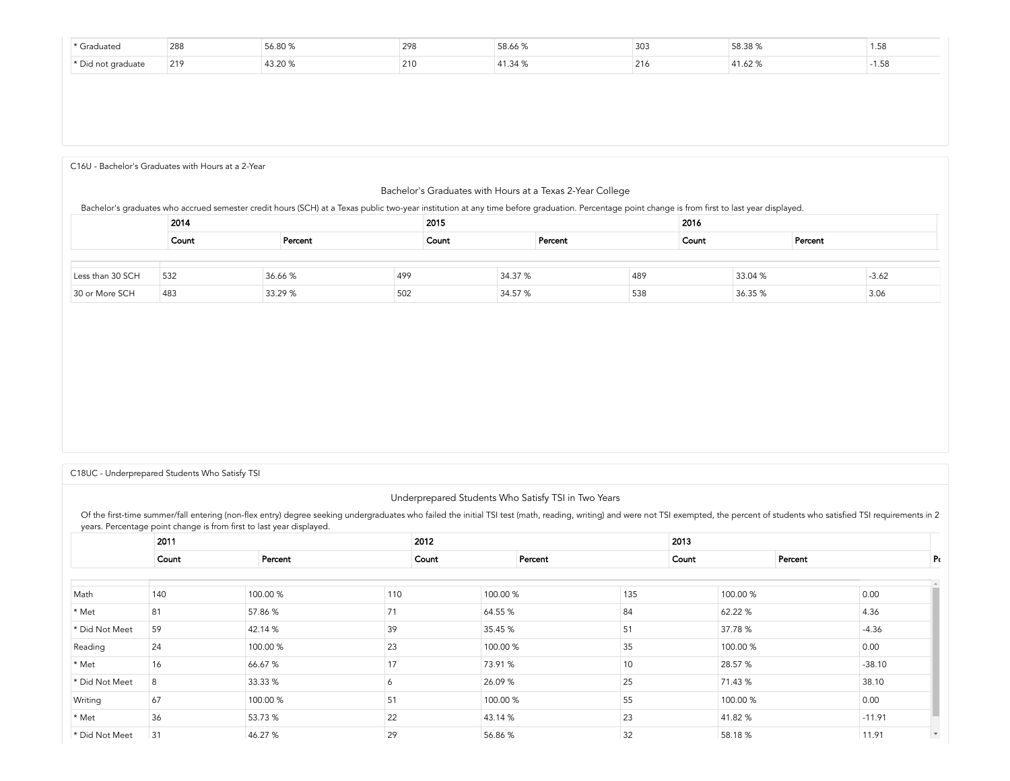| raduatec   | $\sim$<br>288 | 298 | $\sim$ $\sim$<br>58.66 % | 303 | $F^{\wedge}$<br>JU.JU /C | . .<br>1.56 |
|------------|---------------|-----|--------------------------|-----|--------------------------|-------------|
| $+$ $\sim$ | 219           | 210 |                          |     |                          |             |

<span id="page-7-0"></span>C16U - Bachelor's [Graduates](#page-7-0) with Hours at a 2-Year

## Bachelor's Graduates with Hours at a Texas 2-Year College

#### Bachelor's graduates who accrued semester credit hours (SCH) at a Texas public two-year institution at any time before graduation. Percentage point change is from Ārst to last year displayed.

|                  | 2014  |         |     | 2015  |         |         |     | 2016  |         |         |         |  |
|------------------|-------|---------|-----|-------|---------|---------|-----|-------|---------|---------|---------|--|
|                  | Count | Percent |     | Count |         | Percent |     | Count |         | Percent |         |  |
|                  |       |         |     |       |         |         |     |       |         |         |         |  |
| Less than 30 SCH | 532   | 36.66 % | 499 |       | 34.37 % |         | 489 |       | 33.04 % |         | $-3.62$ |  |
| 30 or More SCH   | 483   | 33.29 % | 502 |       | 34.57 % |         | 538 |       | 36.35 % |         | 3.06    |  |

<span id="page-7-1"></span>C18UC - [Underprepared](#page-7-1) Students Who Satisfy TSI

# Underprepared Students Who Satisfy TSI in Two Years

Of the first-time summer/fall entering (non-flex entry) degree seeking undergraduates who failed the initial TSI test (math, reading, writing) and were not TSI exempted, the percent of students who satisfied TSI requiremen years. Percentage point change is from first to last year displayed.

|                | 2011  |          |       | 2012 |          |         |     | 2013  |          |         |          |                          |
|----------------|-------|----------|-------|------|----------|---------|-----|-------|----------|---------|----------|--------------------------|
|                | Count | Percent  | Count |      |          | Percent |     | Count |          | Percent |          | Pς                       |
|                |       |          |       |      |          |         |     |       |          |         |          |                          |
| Math           | 140   | 100.00 % | 110   |      | 100.00 % |         | 135 |       | 100.00 % |         | 0.00     |                          |
| * Met          | 81    | 57.86 %  | 71    |      | 64.55 %  |         | 84  |       | 62.22 %  |         | 4.36     |                          |
| * Did Not Meet | 59    | 42.14 %  | 39    |      | 35.45 %  |         | 51  |       | 37.78 %  |         | $-4.36$  |                          |
| Reading        | 24    | 100.00 % | 23    |      | 100.00 % |         | 35  |       | 100.00 % |         | 0.00     |                          |
| * Met          | 16    | 66.67 %  | 17    |      | 73.91 %  |         | 10  |       | 28.57 %  |         | $-38.10$ |                          |
| * Did Not Meet | 8     | 33.33 %  |       |      | 26.09 %  |         | 25  |       | 71.43 %  |         | 38.10    |                          |
| Writing        | 67    | 100.00 % | 51    |      | 100.00 % |         | 55  |       | 100.00 % |         | 0.00     |                          |
| * Met          | 36    | 53.73 %  | 22    |      | 43.14 %  |         | 23  |       | 41.82%   |         | $-11.91$ |                          |
| * Did Not Meet | 31    | 46.27 %  | 29    |      | 56.86 %  |         | 32  |       | 58.18%   |         | 11.91    | $\overline{\phantom{0}}$ |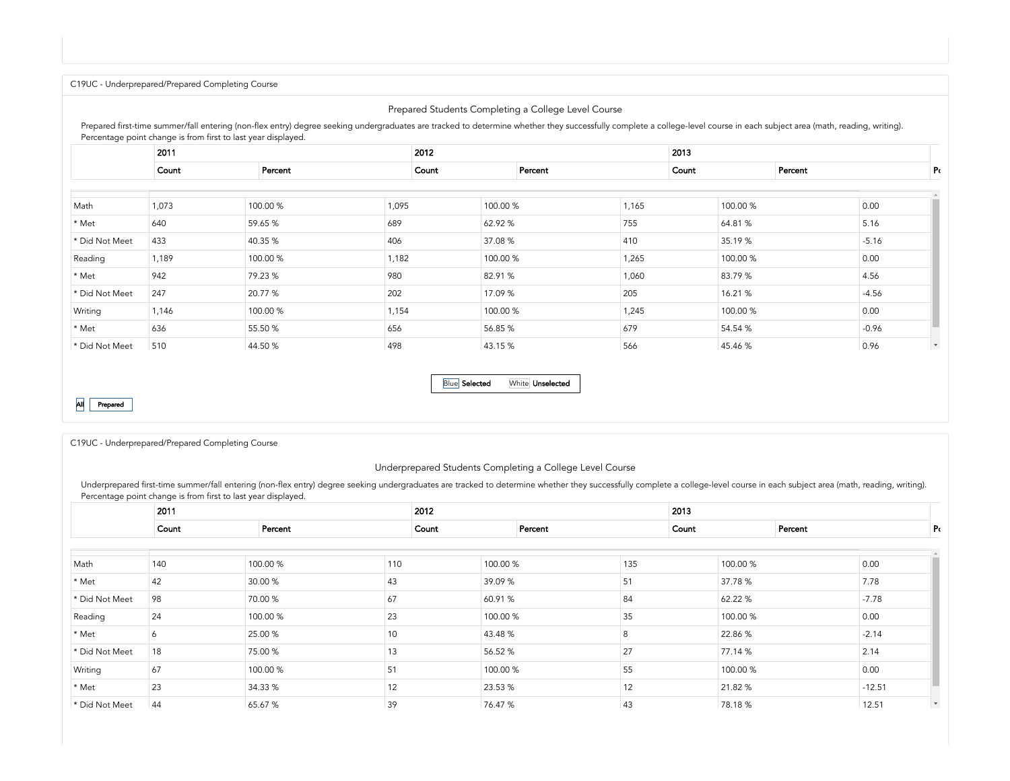<span id="page-8-0"></span>C19UC - [Underprepared/Prepared](#page-8-0) Completing Course

# Prepared Students Completing a College Level Course

Prepared first-time summer/fall entering (non-flex entry) degree seeking undergraduates are tracked to determine whether they successfully complete a college-level course in each subject area (math, reading, writing). Percentage point change is from first to last year displayed.

|                | 2011  |          |       |       |          |         |       | 2013  |          |         |         |              |
|----------------|-------|----------|-------|-------|----------|---------|-------|-------|----------|---------|---------|--------------|
|                | Count | Percent  |       | Count |          | Percent |       | Count |          | Percent |         | Ρc           |
|                |       |          |       |       |          |         |       |       |          |         |         |              |
| Math           | 1,073 | 100.00 % | 1,095 |       | 100.00 % |         | 1,165 |       | 100.00 % |         | 0.00    |              |
| * Met          | 640   | 59.65 %  | 689   |       | 62.92 %  |         | 755   |       | 64.81%   |         | 5.16    |              |
| * Did Not Meet | 433   | 40.35 %  | 406   |       | 37.08 %  |         | 410   |       | 35.19%   |         | $-5.16$ |              |
| Reading        | 1,189 | 100.00 % | 1,182 |       | 100.00 % |         | 1,265 |       | 100.00 % |         | 0.00    |              |
| * Met          | 942   | 79.23 %  | 980   |       | 82.91 %  |         | 1,060 |       | 83.79%   |         | 4.56    |              |
| * Did Not Meet | 247   | 20.77 %  | 202   |       | 17.09 %  |         | 205   |       | 16.21%   |         | $-4.56$ |              |
| Writing        | 1,146 | 100.00 % | 1,154 |       | 100.00 % |         | 1,245 |       | 100.00 % |         | 0.00    |              |
| * Met          | 636   | 55.50 %  | 656   |       | 56.85 %  |         | 679   |       | 54.54 %  |         | $-0.96$ |              |
| * Did Not Meet | 510   | 44.50 %  | 498   |       | 43.15 %  |         | 566   |       | 45.46 %  |         | 0.96    | $\mathbf{v}$ |

All Prepared

Blue Selected White Unselected

<span id="page-8-1"></span>C19UC - [Underprepared/Prepared](#page-8-1) Completing Course

#### Underprepared Students Completing a College Level Course

Underprepared first-time summer/fall entering (non-flex entry) degree seeking undergraduates are tracked to determine whether they successfully complete a college-level course in each subject area (math, reading, writing). Percentage point change is from first to last year displayed.

|                | 2011  |          |     | 2012     |         |     | 2013  |          |         |          |                          |
|----------------|-------|----------|-----|----------|---------|-----|-------|----------|---------|----------|--------------------------|
|                | Count | Percent  |     | Count    | Percent |     | Count |          | Percent |          | Pc                       |
|                |       |          |     |          |         |     |       |          |         |          |                          |
| Math           | 140   | 100.00 % | 110 | 100.00 % |         | 135 |       | 100.00 % |         | 0.00     |                          |
| * Met          | 42    | 30.00 %  | 43  | 39.09 %  |         | 51  |       | 37.78 %  |         | 7.78     |                          |
| * Did Not Meet | 98    | 70.00 %  | 67  | 60.91%   |         | 84  |       | 62.22 %  |         | $-7.78$  |                          |
| Reading        | 24    | 100.00 % | 23  | 100.00 % |         | 35  |       | 100.00 % |         | 0.00     |                          |
| * Met          | Ô     | 25.00 %  | 10  | 43.48 %  |         | 8   |       | 22.86%   |         | $-2.14$  |                          |
| * Did Not Meet | 18    | 75.00 %  | 13  | 56.52 %  |         | 27  |       | 77.14 %  |         | 2.14     |                          |
| Writing        | 67    | 100.00 % | 51  | 100.00 % |         | 55  |       | 100.00 % |         | 0.00     |                          |
| * Met          | 23    | 34.33 %  | 12  | 23.53 %  |         | 12  |       | 21.82%   |         | $-12.51$ |                          |
| * Did Not Meet | 44    | 65.67 %  | 39  | 76.47 %  |         | 43  |       | 78.18%   |         | 12.51    | $\overline{\phantom{a}}$ |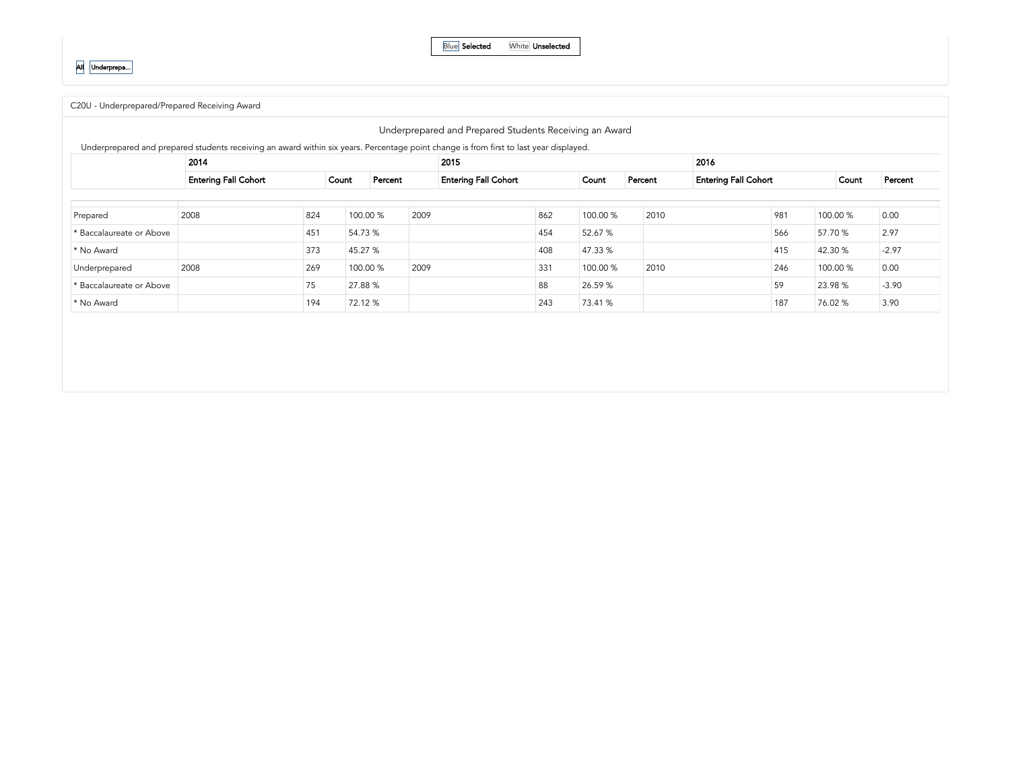Blue Selected White Unselected

C20U - [Underprepared/Prepared](#page-9-0) Receiving Award

<span id="page-9-0"></span>

|                          | 2014                        |     |          |         |      | 2015                        |     |          |         | 2016 |                             |     |          |         |
|--------------------------|-----------------------------|-----|----------|---------|------|-----------------------------|-----|----------|---------|------|-----------------------------|-----|----------|---------|
|                          | <b>Entering Fall Cohort</b> |     | Count    | Percent |      | <b>Entering Fall Cohort</b> |     | Count    | Percent |      | <b>Entering Fall Cohort</b> |     | Count    | Percent |
|                          |                             |     |          |         |      |                             |     |          |         |      |                             |     |          |         |
| Prepared                 | 2008                        | 824 | 100.00 % |         | 2009 |                             | 862 | 100.00 % | 2010    |      |                             | 981 | 100.00 % | 0.00    |
| * Baccalaureate or Above |                             | 451 | 54.73 %  |         |      |                             | 454 | 52.67 %  |         |      |                             | 566 | 57.70 %  | 2.97    |
| * No Award               |                             | 373 | 45.27 %  |         |      |                             | 408 | 47.33 %  |         |      |                             | 415 | 42.30 %  | $-2.97$ |
| Underprepared            | 2008                        | 269 | 100.00 % |         | 2009 |                             | 331 | 100.00 % | 2010    |      |                             | 246 | 100.00 % | 0.00    |
| * Baccalaureate or Above |                             | 75  | 27.88 %  |         |      |                             | 88  | 26.59%   |         |      |                             | 59  | 23.98 %  | $-3.90$ |
| * No Award               |                             | 194 | 72.12 %  |         |      |                             | 243 | 73.41 %  |         |      |                             | 187 | 76.02 %  | 3.90    |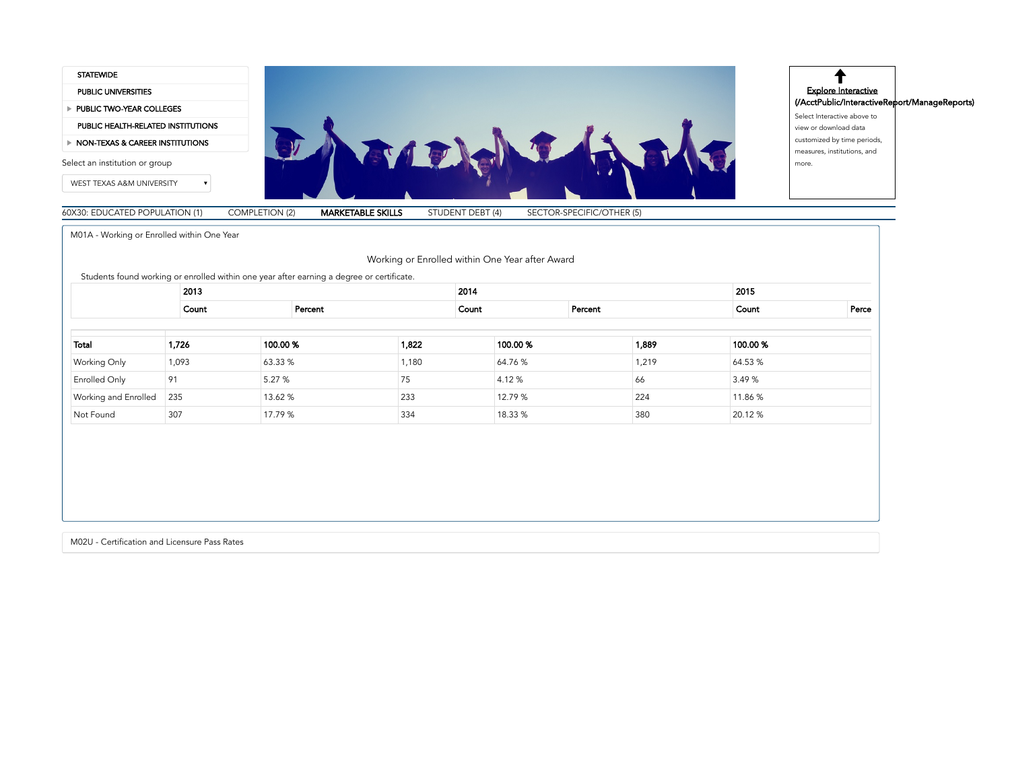

<span id="page-10-0"></span>M01A - Working or Enrolled within One Year

Working or Enrolled within One Year after Award

Students found working or enrolled within one year after earning a degree or certificate.

|                             | 2013  |         |         |       | 2014  |         |         |       | 2015     |       |
|-----------------------------|-------|---------|---------|-------|-------|---------|---------|-------|----------|-------|
|                             | Count |         | Percent |       | Count |         | Percent |       | Count    | Perce |
|                             |       |         |         |       |       |         |         |       |          |       |
| Total                       | 1,726 | 100.00% |         | 1,822 |       | 100.00% |         | 1,889 | 100.00 % |       |
| <b>Working Only</b>         | 1,093 | 63.33 % |         | 1,180 |       | 64.76%  |         | 1,219 | 64.53 %  |       |
| Enrolled Only               | 91    | 5.27 %  |         | 75    |       | 4.12%   |         | 66    | 3.49 %   |       |
| <b>Working and Enrolled</b> | 235   | 13.62 % |         | 233   |       | 12.79 % |         | 224   | 11.86 %  |       |
| Not Found                   | 307   | 17.79 % |         | 334   |       | 18.33 % |         | 380   | 20.12 %  |       |

M02U - Certification and Licensure Pass Rates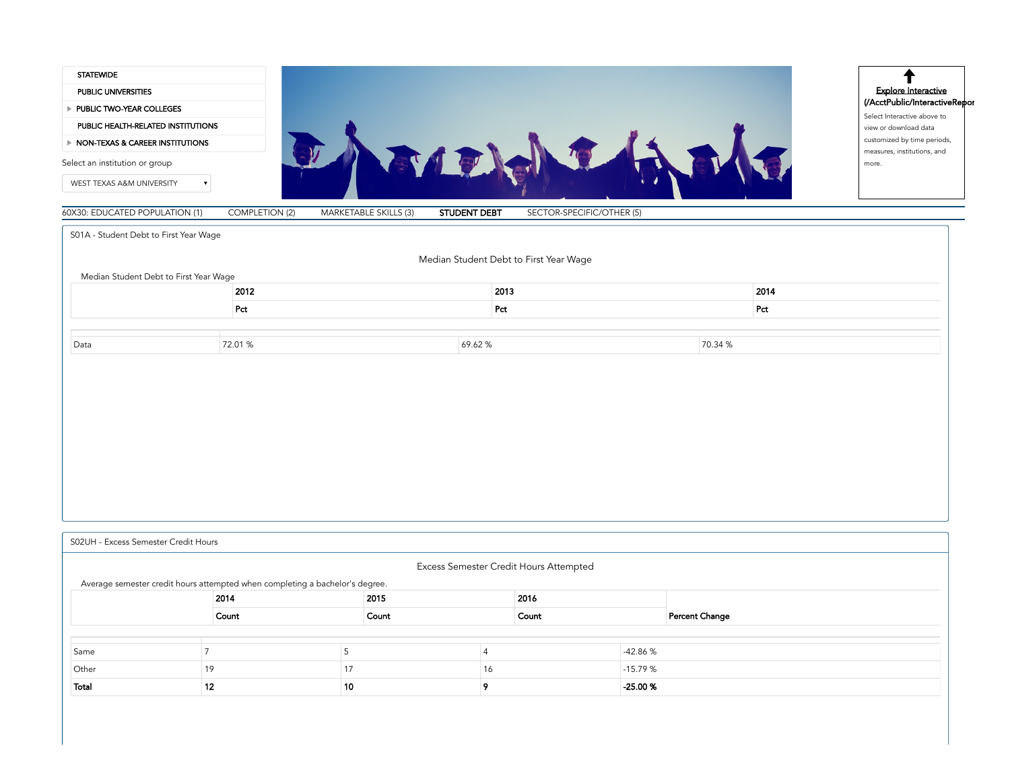<span id="page-11-0"></span>

| <b>STATEWIDE</b>                                                             |                       |                       |                                        |                           |         |                                                              |
|------------------------------------------------------------------------------|-----------------------|-----------------------|----------------------------------------|---------------------------|---------|--------------------------------------------------------------|
| PUBLIC UNIVERSITIES                                                          |                       |                       |                                        |                           |         | <b>Explore Interactive</b>                                   |
| PUBLIC TWO-YEAR COLLEGES                                                     |                       |                       |                                        |                           |         | (/AcctPublic/InteractiveRepor<br>Select Interactive above to |
| PUBLIC HEALTH-RELATED INSTITUTIONS                                           |                       |                       |                                        |                           |         | view or download data                                        |
| > NON-TEXAS & CAREER INSTITUTIONS                                            |                       |                       |                                        |                           |         | customized by time periods,<br>measures, institutions, and   |
| Select an institution or group                                               |                       | JAROJ                 |                                        |                           |         | more.                                                        |
| WEST TEXAS A&M UNIVERSITY<br>$\pmb{\mathrm{v}}$                              |                       |                       |                                        |                           |         |                                                              |
| 60X30: EDUCATED POPULATION (1)                                               | <b>COMPLETION (2)</b> | MARKETABLE SKILLS (3) | <b>STUDENT DEBT</b>                    | SECTOR-SPECIFIC/OTHER (5) |         |                                                              |
| S01A - Student Debt to First Year Wage                                       |                       |                       |                                        |                           |         |                                                              |
|                                                                              |                       |                       | Median Student Debt to First Year Wage |                           |         |                                                              |
| Median Student Debt to First Year Wage                                       |                       |                       |                                        |                           |         |                                                              |
|                                                                              | 2012                  |                       | 2013                                   |                           | 2014    |                                                              |
|                                                                              | Pct                   |                       | Pct                                    |                           | Pct     |                                                              |
|                                                                              |                       |                       |                                        |                           |         |                                                              |
| Data                                                                         | 72.01 %               |                       | 69.62%                                 |                           | 70.34 % |                                                              |
|                                                                              |                       |                       |                                        |                           |         |                                                              |
|                                                                              |                       |                       |                                        |                           |         |                                                              |
| S02UH - Excess Semester Credit Hours                                         |                       |                       |                                        |                           |         |                                                              |
|                                                                              |                       |                       | Excess Semester Credit Hours Attempted |                           |         |                                                              |
| Average semester credit hours attempted when completing a bachelor's degree. | 2014                  | 2015                  |                                        | 2016                      |         |                                                              |

<span id="page-11-1"></span>

| Same  |     |    |                | $-42.86%$ |
|-------|-----|----|----------------|-----------|
| Other |     |    | $\overline{0}$ | $-15.79%$ |
| Total | . . | 10 |                | -25.00 %  |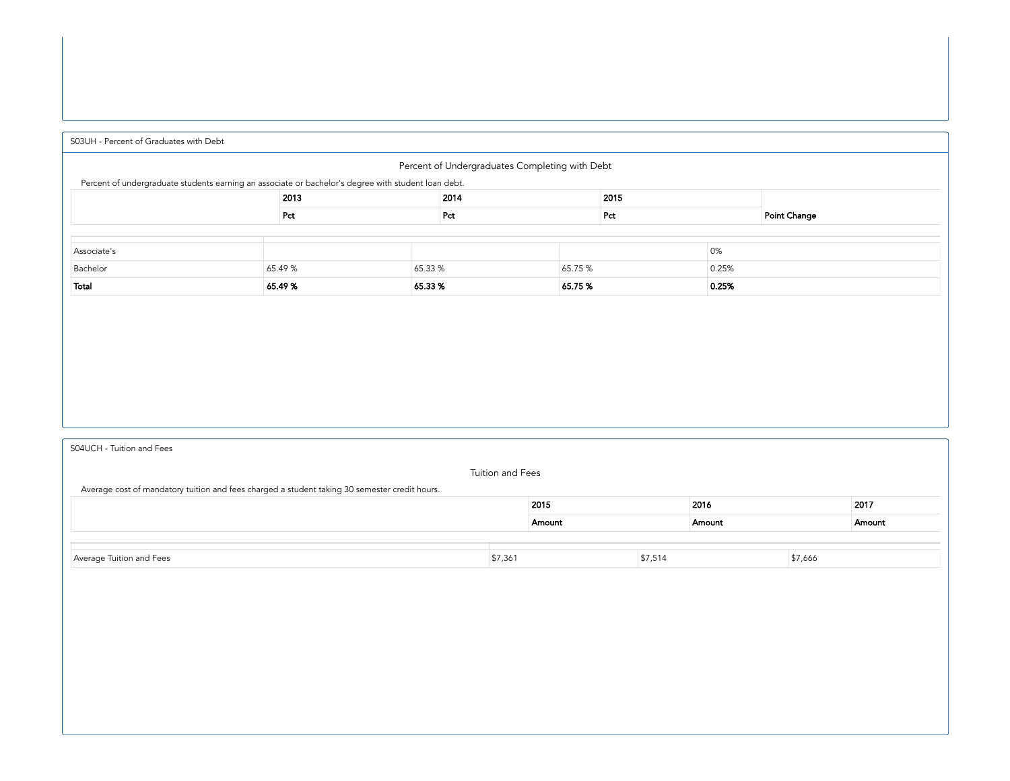<span id="page-12-0"></span>

| S03UH - Percent of Graduates with Debt                                                              |                      |         |     |        |     |       |              |  |  |
|-----------------------------------------------------------------------------------------------------|----------------------|---------|-----|--------|-----|-------|--------------|--|--|
| Percent of Undergraduates Completing with Debt                                                      |                      |         |     |        |     |       |              |  |  |
| Percent of undergraduate students earning an associate or bachelor's degree with student loan debt. |                      |         |     |        |     |       |              |  |  |
|                                                                                                     | 2015<br>2013<br>2014 |         |     |        |     |       |              |  |  |
|                                                                                                     | Pct                  |         | Pct |        | Pct |       | Point Change |  |  |
|                                                                                                     |                      |         |     |        |     |       |              |  |  |
| Associate's                                                                                         |                      |         |     |        |     | 0%    |              |  |  |
| Bachelor<br>65.33 %<br>65.49 %<br>65.75 %<br>0.25%                                                  |                      |         |     |        |     |       |              |  |  |
| Total                                                                                               | 65.49%               | 65.33 % |     | 65.75% |     | 0.25% |              |  |  |

[S04UCH](#page-12-1) - Tuition and Fees

<span id="page-12-1"></span>

| Average cost of mandatory tuition and fees charged a student taking 30 semester credit hours. | Tuition and Fees |        |         |        |         |        |
|-----------------------------------------------------------------------------------------------|------------------|--------|---------|--------|---------|--------|
|                                                                                               |                  |        |         |        |         | 2017   |
|                                                                                               |                  | Amount |         | Amount |         | Amount |
|                                                                                               |                  |        |         |        |         |        |
| Average Tuition and Fees                                                                      | \$7,361          |        | \$7,514 |        | \$7,666 |        |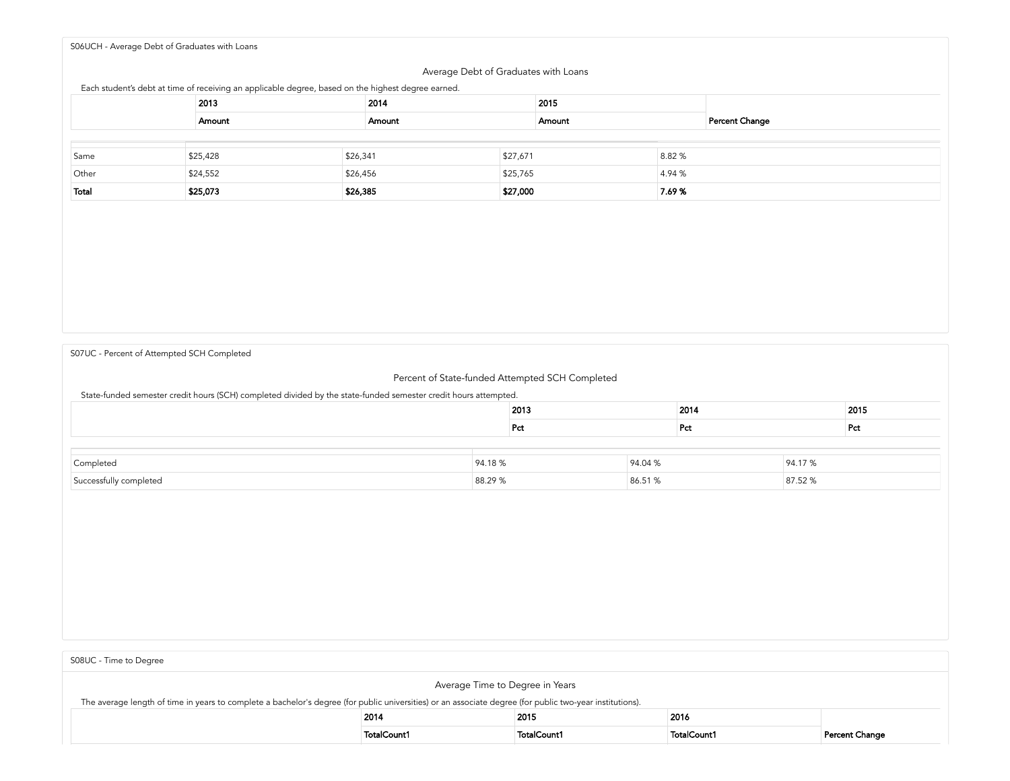<span id="page-13-0"></span>S06UCH - Average Debt of [Graduates](#page-13-0) with Loans

## Average Debt of Graduates with Loans

Each student's debt at time of receiving an applicable degree, based on the highest degree earned.

|       | 2013     | 2014     | 2015     |                    |       |                |
|-------|----------|----------|----------|--------------------|-------|----------------|
|       | Amount   | Amount   |          | Amount             |       | Percent Change |
|       |          |          |          |                    |       |                |
| Same  | \$25,428 | \$26,341 | \$27,671 |                    | 8.82% |                |
| Other | \$24,552 | \$26,456 |          | \$25,765<br>4.94 % |       |                |
| Total | \$25,073 | \$26,385 | \$27,000 |                    | 7.69% |                |

S07UC - Percent of Attempted SCH [Completed](#page-13-1)

<span id="page-13-1"></span>

| 307 OC - Fercent or Attempted 3CH Completed                                                                     |                              |      |         |      |         |      |  |  |
|-----------------------------------------------------------------------------------------------------------------|------------------------------|------|---------|------|---------|------|--|--|
| Percent of State-funded Attempted SCH Completed                                                                 |                              |      |         |      |         |      |  |  |
| State-funded semester credit hours (SCH) completed divided by the state-funded semester credit hours attempted. |                              |      |         |      |         |      |  |  |
|                                                                                                                 |                              | 2013 |         | 2014 |         | 2015 |  |  |
|                                                                                                                 |                              | Pct  |         | Pct  |         | Pct  |  |  |
|                                                                                                                 |                              |      |         |      |         |      |  |  |
| Completed                                                                                                       | 94.04 %<br>94.18%<br>94.17 % |      |         |      |         |      |  |  |
| Successfully completed                                                                                          | 88.29 %                      |      | 86.51 % |      | 87.52 % |      |  |  |

<span id="page-13-2"></span>

| S08UC - Time to Degree                                                                                                                                                                      |             |             |             |                |  |  |  |  |
|---------------------------------------------------------------------------------------------------------------------------------------------------------------------------------------------|-------------|-------------|-------------|----------------|--|--|--|--|
| Average Time to Degree in Years<br>The average length of time in years to complete a bachelor's degree (for public universities) or an associate degree (for public two-year institutions). |             |             |             |                |  |  |  |  |
| 2014<br>2015<br>2016                                                                                                                                                                        |             |             |             |                |  |  |  |  |
|                                                                                                                                                                                             | TotalCount1 | TotalCount1 | TotalCount1 | Percent Change |  |  |  |  |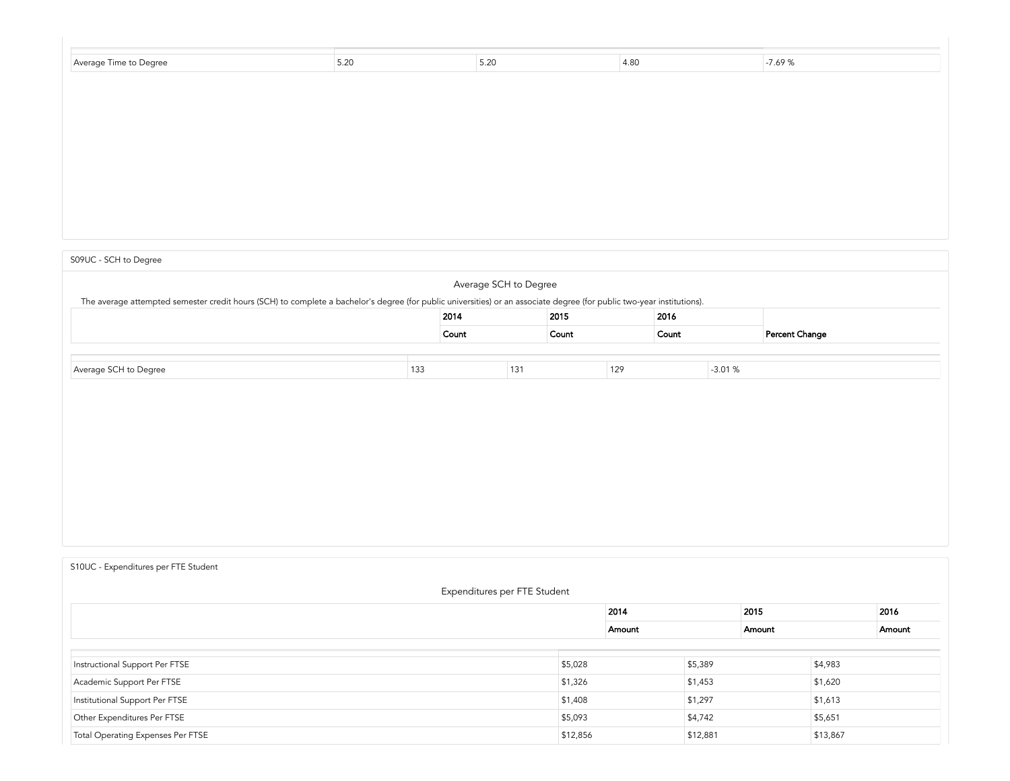| Average Time to Degree | 5.20 | 5.20 | 4.80 | $-7.69%$ |  |
|------------------------|------|------|------|----------|--|
|                        |      |      |      |          |  |
|                        |      |      |      |          |  |
|                        |      |      |      |          |  |
|                        |      |      |      |          |  |

## S09UC - SCH to [Degree](#page-14-0)

<span id="page-14-0"></span>

|                                                                                                                                                                        |     | Average SCH to Degree |     |       |     |       |          |                |
|------------------------------------------------------------------------------------------------------------------------------------------------------------------------|-----|-----------------------|-----|-------|-----|-------|----------|----------------|
| The average attempted semester credit hours (SCH) to complete a bachelor's degree (for public universities) or an associate degree (for public two-year institutions). |     |                       |     |       |     |       |          |                |
| 2015<br>2014<br>2016                                                                                                                                                   |     |                       |     |       |     |       |          |                |
|                                                                                                                                                                        |     | Count                 |     | Count |     | Count |          | Percent Change |
|                                                                                                                                                                        |     |                       |     |       |     |       |          |                |
| Average SCH to Degree                                                                                                                                                  | 133 |                       | 131 |       | 129 |       | $-3.01%$ |                |
|                                                                                                                                                                        |     |                       |     |       |     |       |          |                |
|                                                                                                                                                                        |     |                       |     |       |     |       |          |                |
|                                                                                                                                                                        |     |                       |     |       |     |       |          |                |

# S10UC - [Expenditures](#page-14-1) per FTE Student

<span id="page-14-1"></span>

| Expenditures per FTE Student      |          |        |          |        |          |        |  |  |  |
|-----------------------------------|----------|--------|----------|--------|----------|--------|--|--|--|
|                                   |          | 2014   |          | 2015   |          | 2016   |  |  |  |
|                                   |          | Amount |          | Amount |          | Amount |  |  |  |
|                                   |          |        |          |        |          |        |  |  |  |
| Instructional Support Per FTSE    | \$5,028  |        | \$5,389  |        | \$4,983  |        |  |  |  |
| Academic Support Per FTSE         | \$1,326  |        | \$1,453  |        | \$1,620  |        |  |  |  |
| Institutional Support Per FTSE    | \$1,408  |        | \$1,297  |        | \$1,613  |        |  |  |  |
| Other Expenditures Per FTSE       | \$5,093  |        | \$4,742  |        | \$5,651  |        |  |  |  |
| Total Operating Expenses Per FTSE | \$12,856 |        | \$12,881 |        | \$13,867 |        |  |  |  |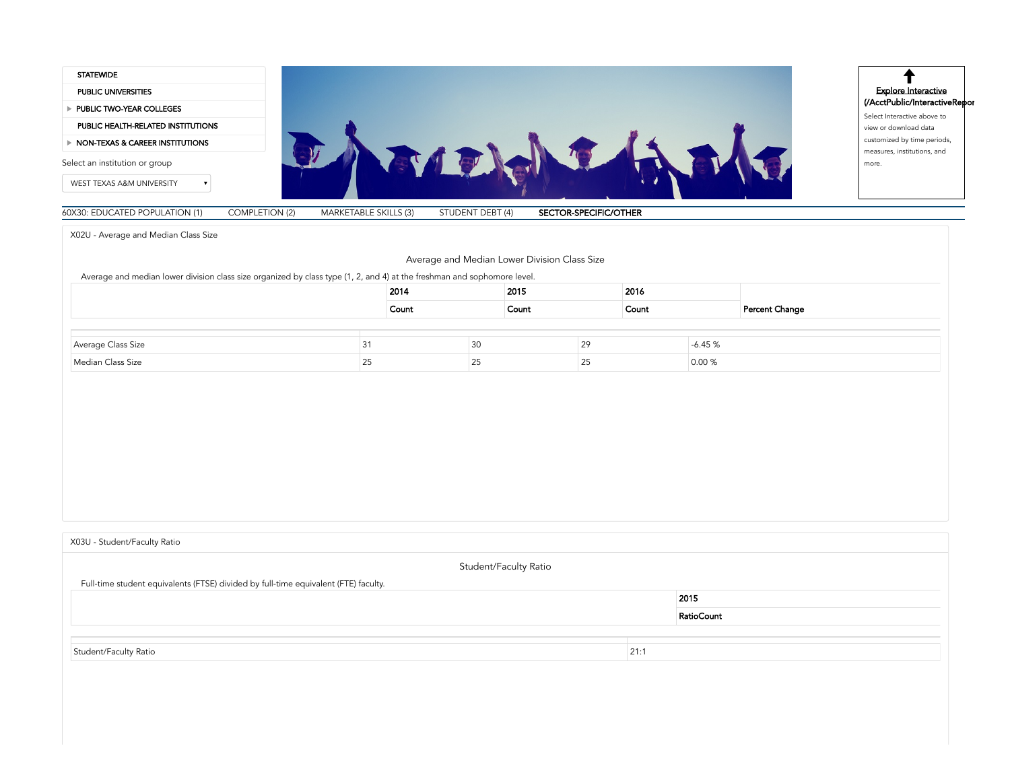

<span id="page-16-0"></span>X02U - [Average](#page-16-0) and Median Class Size

| Average and Median Lower Division Class Size |
|----------------------------------------------|
|----------------------------------------------|

Average and median lower division class size organized by class type (1, 2, and 4) at the freshman and sophomore level.

|                    |     | 2014  |     | 2015  |    | 2016  |          |                |
|--------------------|-----|-------|-----|-------|----|-------|----------|----------------|
|                    |     | Count |     | Count |    | Count |          | Percent Change |
|                    |     |       |     |       |    |       |          |                |
| Average Class Size | ا ب |       | 3U  |       | 29 |       | $-6.45%$ |                |
| Median Class Size  | رے  |       | ں ے |       | 25 |       | 0.00 %   |                |

<span id="page-16-1"></span>Student/Faculty Ratio Full-time student equivalents (FTSE) divided by full-time equivalent (FTE) faculty. 2015 RatioCount Student/Faculty Ratio 21:1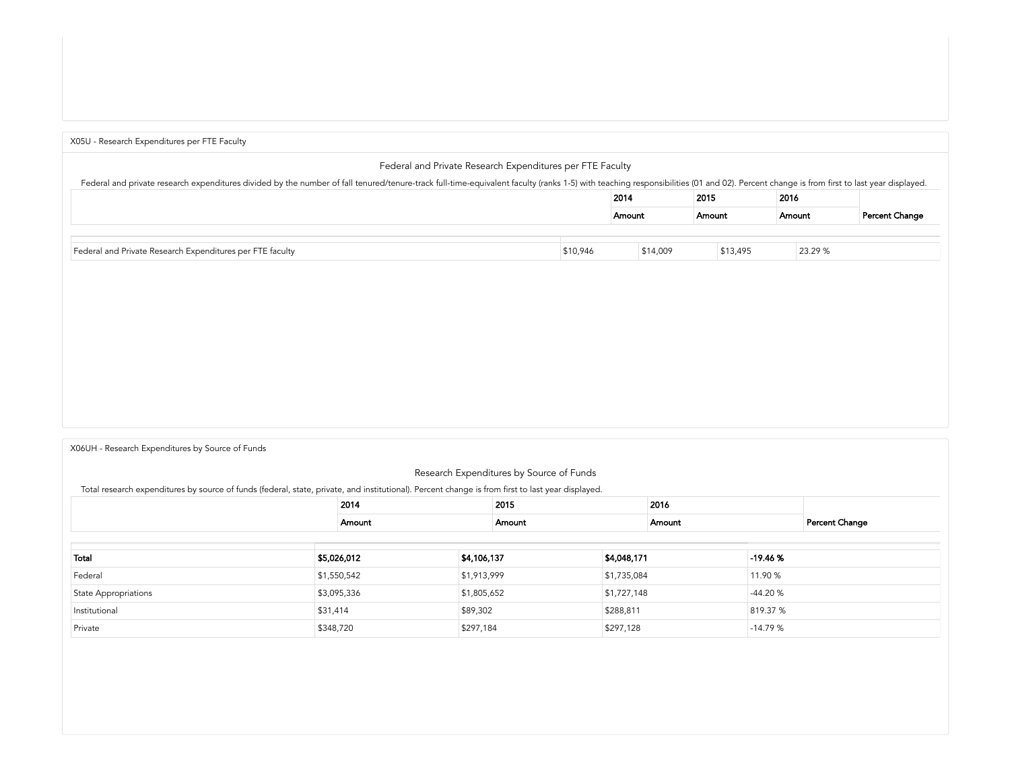<span id="page-17-0"></span>

| X05U - Research Expenditures per FTE Faculty                                                                                                                                                                                   |          |        |          |          |        |         |                |
|--------------------------------------------------------------------------------------------------------------------------------------------------------------------------------------------------------------------------------|----------|--------|----------|----------|--------|---------|----------------|
| Federal and Private Research Expenditures per FTE Faculty                                                                                                                                                                      |          |        |          |          |        |         |                |
| Federal and private research expenditures divided by the number of fall tenured/tenure-track full-time-equivalent faculty (ranks 1-5) with teaching responsibilities (01 and 02). Percent change is from first to last year di |          |        |          |          |        |         |                |
|                                                                                                                                                                                                                                |          | 2014   |          | 2015     | 2016   |         |                |
|                                                                                                                                                                                                                                |          | Amount |          | Amount   | Amount |         | Percent Change |
|                                                                                                                                                                                                                                |          |        |          |          |        |         |                |
| Federal and Private Research Expenditures per FTE faculty                                                                                                                                                                      | \$10,946 |        | \$14,009 | \$13,495 |        | 23.29 % |                |

#### X06UH -Research [Expenditures](#page-17-1) by Source of Funds

<span id="page-17-1"></span>

|                                                                                                                                                   |             | Research Expenditures by Source of Funds |        |             |             |           |                |  |
|---------------------------------------------------------------------------------------------------------------------------------------------------|-------------|------------------------------------------|--------|-------------|-------------|-----------|----------------|--|
| Total research expenditures by source of funds (federal, state, private, and institutional). Percent change is from first to last year displayed. |             |                                          |        |             |             |           |                |  |
|                                                                                                                                                   | 2014        |                                          |        | 2015        |             | 2016      |                |  |
|                                                                                                                                                   | Amount      |                                          | Amount | Amount      |             |           | Percent Change |  |
|                                                                                                                                                   |             |                                          |        |             |             |           |                |  |
| Total                                                                                                                                             | \$5,026,012 | \$4,106,137                              |        | \$4,048,171 |             | $-19.46%$ |                |  |
| Federal                                                                                                                                           | \$1,550,542 | \$1,913,999                              |        |             | \$1,735,084 |           |                |  |
| <b>State Appropriations</b>                                                                                                                       | \$3,095,336 | \$1,805,652                              |        |             | \$1,727,148 |           |                |  |
| Institutional                                                                                                                                     | \$31,414    | \$89,302                                 |        |             | \$288,811   |           |                |  |
| Private                                                                                                                                           | \$348,720   | \$297,184                                |        | \$297,128   | $-14.79%$   |           |                |  |